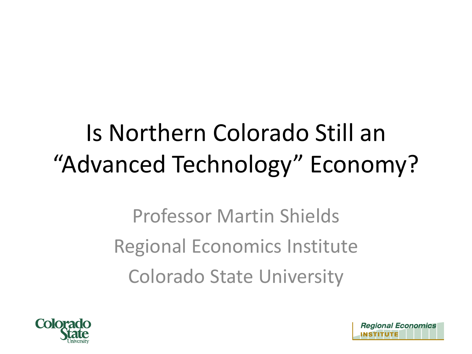#### Is Northern Colorado Still an "Advanced Technology" Economy?

Professor Martin Shields Regional Economics Institute Colorado State University



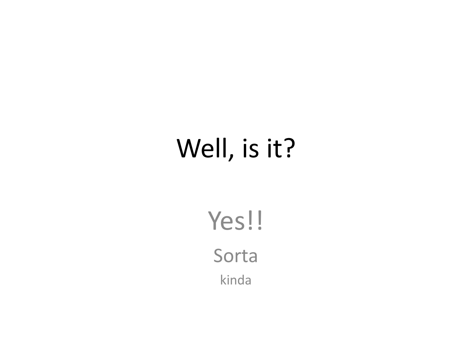#### Well, is it?

Yes!! Sorta kinda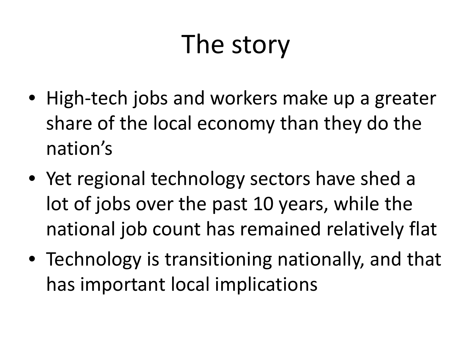# The story

- High-tech jobs and workers make up a greater share of the local economy than they do the nation's
- Yet regional technology sectors have shed a lot of jobs over the past 10 years, while the national job count has remained relatively flat
- Technology is transitioning nationally, and that has important local implications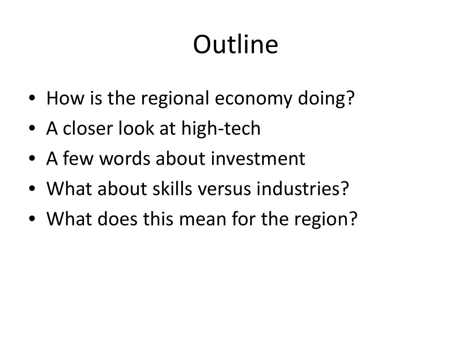# **Outline**

- How is the regional economy doing?
- A closer look at high-tech
- A few words about investment
- What about skills versus industries?
- What does this mean for the region?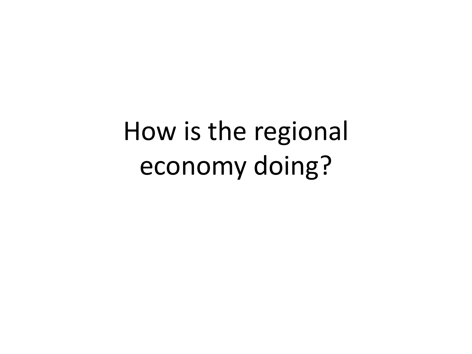How is the regional economy doing?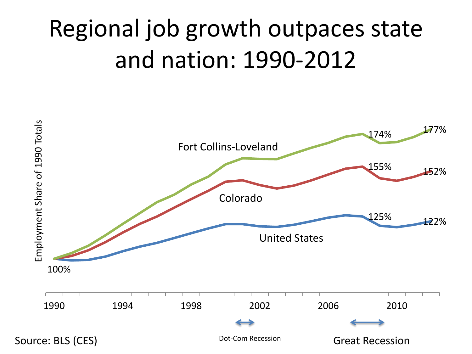#### Regional job growth outpaces state and nation: 1990-2012

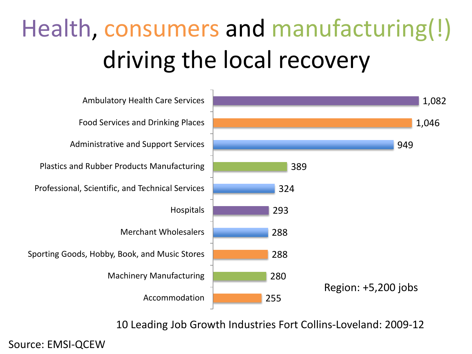# Health, consumers and manufacturing(!) driving the local recovery



10 Leading Job Growth Industries Fort Collins-Loveland: 2009-12

Source: EMSI-QCEW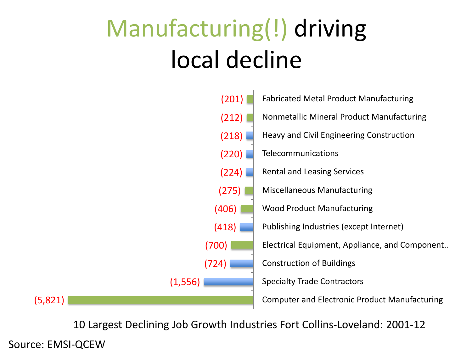#### Manufacturing(!) driving local decline



10 Largest Declining Job Growth Industries Fort Collins-Loveland: 2001-12

Source: EMSI-QCEW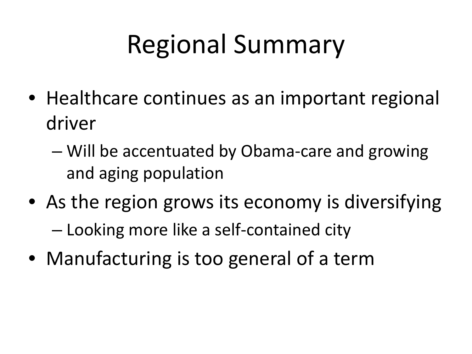# Regional Summary

- Healthcare continues as an important regional driver
	- Will be accentuated by Obama-care and growing and aging population
- As the region grows its economy is diversifying – Looking more like a self-contained city
- Manufacturing is too general of a term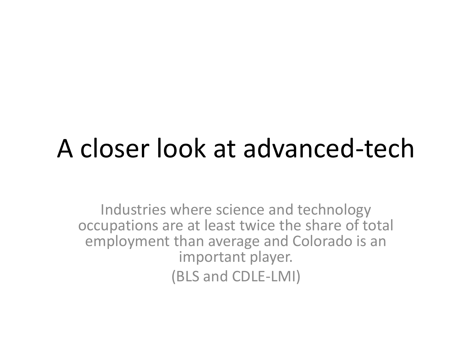#### A closer look at advanced-tech

Industries where science and technology occupations are at least twice the share of total employment than average and Colorado is an important player. (BLS and CDLE-LMI)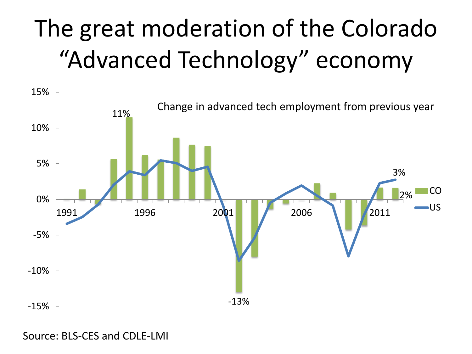## The great moderation of the Colorado "Advanced Technology" economy



Source: BLS-CES and CDLE-LMI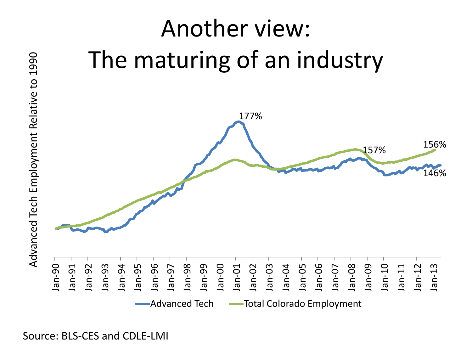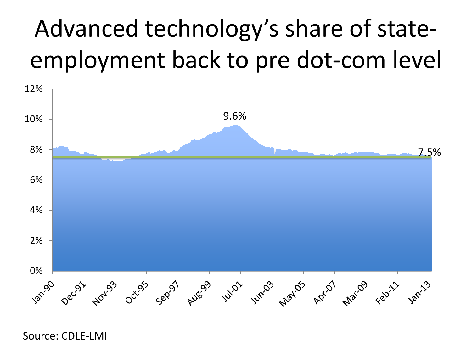#### Advanced technology's share of stateemployment back to pre dot-com level



Source: CDLE-LMI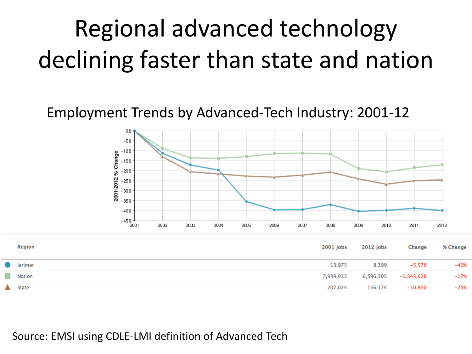#### Regional advanced technology declining faster than state and nation

#### Employment Trends by Advanced-Tech Industry: 2001-12



| <b>Region</b> | 2001 Jobs | 2012 Jobs | <b>Change</b> | % Change |
|---------------|-----------|-----------|---------------|----------|
| larimer       | 13,975    | 8,399     | -5,576        | $-40%$   |
| Nation        | 7,939,933 | 6,596,305 | $-1,343,628$  | $-17%$   |
| State         | 207,024   | 156,174   | -50,850       | $-25%$   |
|               |           |           |               |          |

Source: EMSI using CDLE-LMI definition of Advanced Tech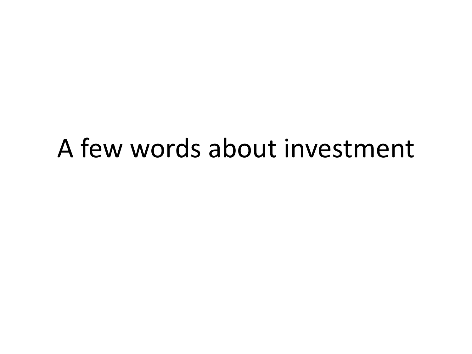#### A few words about investment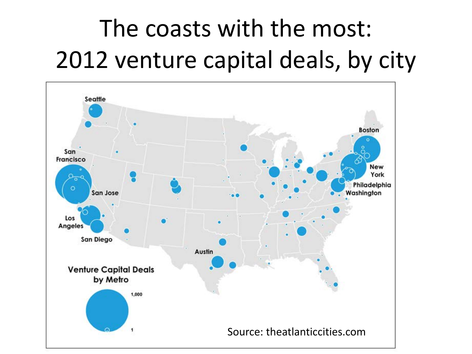### The coasts with the most: 2012 venture capital deals, by city

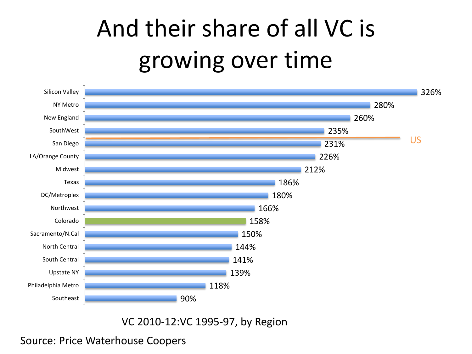#### And their share of all VC is growing over time



VC 2010-12:VC 1995-97, by Region

#### Source: Price Waterhouse Coopers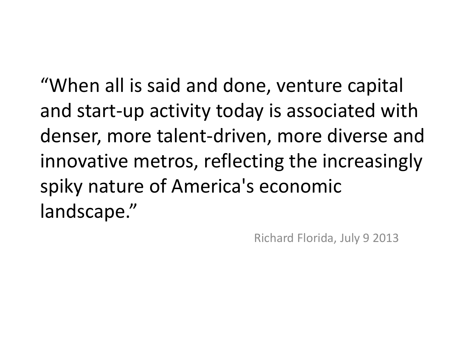"When all is said and done, venture capital and start-up activity today is associated with denser, more talent-driven, more diverse and innovative metros, reflecting the increasingly spiky nature of America's economic landscape."

Richard Florida, July 9 2013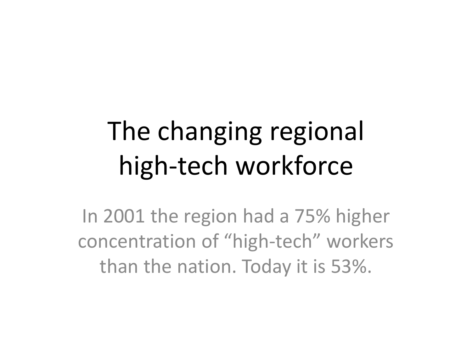# The changing regional high-tech workforce

In 2001 the region had a 75% higher concentration of "high-tech" workers than the nation. Today it is 53%.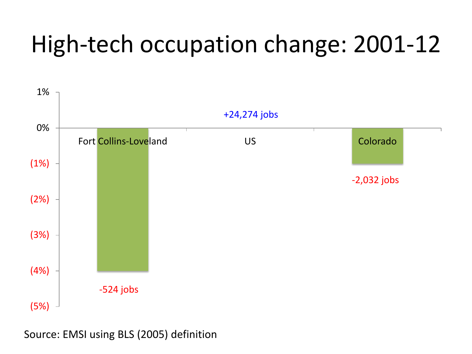#### High-tech occupation change: 2001-12



Source: EMSI using BLS (2005) definition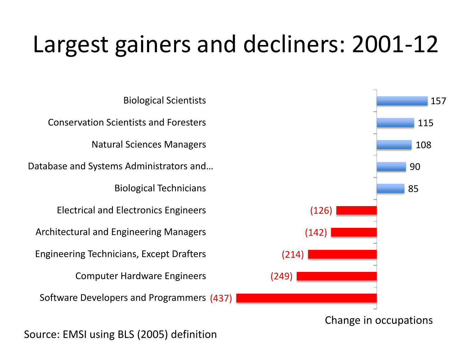#### Largest gainers and decliners: 2001-12

Software Developers and Programmers (437) Computer Hardware Engineers Engineering Technicians, Except Drafters Architectural and Engineering Managers Electrical and Electronics Engineers Biological Technicians Database and Systems Administrators and … Natural Sciences Managers Conservation Scientists and Foresters Biological Scientists



Change in occupations

Source: EMSI using BLS (2005) definition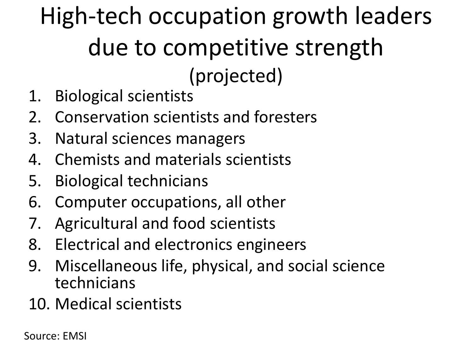#### High-tech occupation growth leaders due to competitive strength (projected)

- 1. Biological scientists
- 2. Conservation scientists and foresters
- 3. Natural sciences managers
- 4. Chemists and materials scientists
- 5. Biological technicians
- 6. Computer occupations, all other
- 7. Agricultural and food scientists
- 8. Electrical and electronics engineers
- 9. Miscellaneous life, physical, and social science technicians
- 10. Medical scientists

Source: EMSI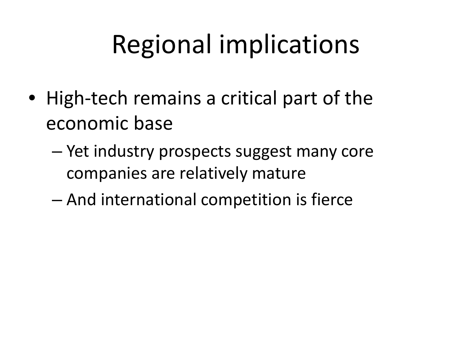- High-tech remains a critical part of the economic base
	- Yet industry prospects suggest many core companies are relatively mature
	- And international competition is fierce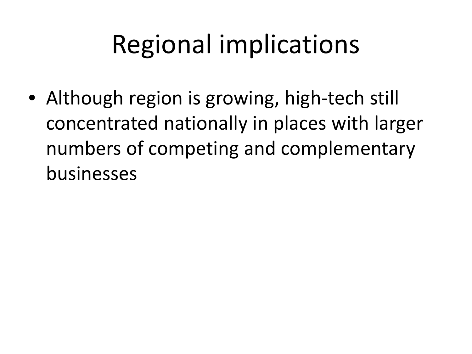• Although region is growing, high-tech still concentrated nationally in places with larger numbers of competing and complementary businesses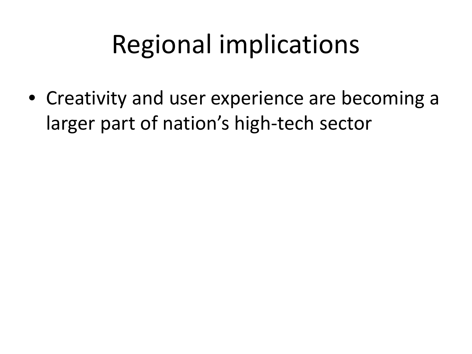• Creativity and user experience are becoming a larger part of nation's high-tech sector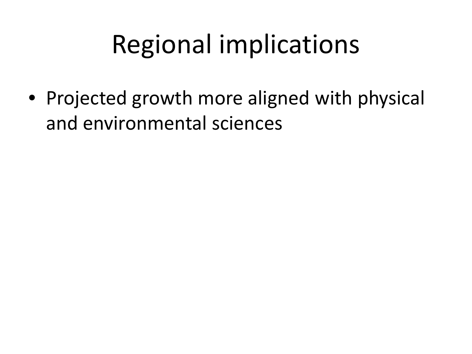• Projected growth more aligned with physical and environmental sciences